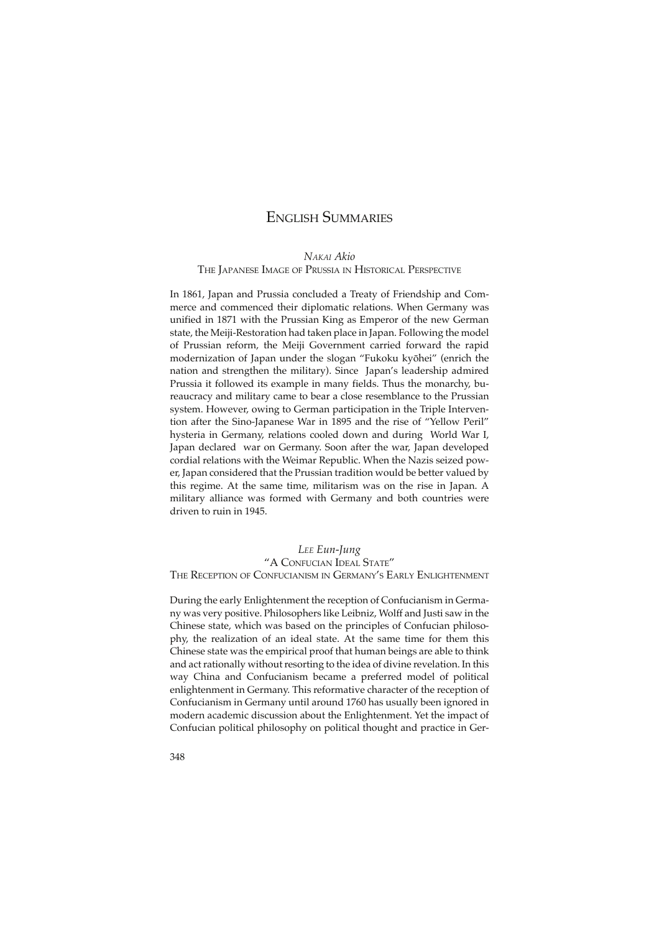# ENGLISH SUMMARIES

*NAKAI Akio*

#### THE JAPANESE IMAGE OF PRUSSIA IN HISTORICAL PERSPECTIVE

In 1861, Japan and Prussia concluded a Treaty of Friendship and Commerce and commenced their diplomatic relations. When Germany was unified in 1871 with the Prussian King as Emperor of the new German state, the Meiji-Restoration had taken place in Japan. Following the model of Prussian reform, the Meiji Government carried forward the rapid modernization of Japan under the slogan "Fukoku kyôhei" (enrich the nation and strengthen the military). Since Japan's leadership admired Prussia it followed its example in many fields. Thus the monarchy, bureaucracy and military came to bear a close resemblance to the Prussian system. However, owing to German participation in the Triple Intervention after the Sino-Japanese War in 1895 and the rise of "Yellow Peril" hysteria in Germany, relations cooled down and during World War I, Japan declared war on Germany. Soon after the war, Japan developed cordial relations with the Weimar Republic. When the Nazis seized power, Japan considered that the Prussian tradition would be better valued by this regime. At the same time, militarism was on the rise in Japan. A military alliance was formed with Germany and both countries were driven to ruin in 1945.

# *LEE Eun-Jung* "A CONFUCIAN IDEAL STATE" THE RECEPTION OF CONFUCIANISM IN GERMANY'S EARLY ENLIGHTENMENT

During the early Enlightenment the reception of Confucianism in Germany was very positive. Philosophers like Leibniz, Wolff and Justi saw in the Chinese state, which was based on the principles of Confucian philosophy, the realization of an ideal state. At the same time for them this Chinese state was the empirical proof that human beings are able to think and act rationally without resorting to the idea of divine revelation. In this way China and Confucianism became a preferred model of political enlightenment in Germany. This reformative character of the reception of Confucianism in Germany until around 1760 has usually been ignored in modern academic discussion about the Enlightenment. Yet the impact of Confucian political philosophy on political thought and practice in Ger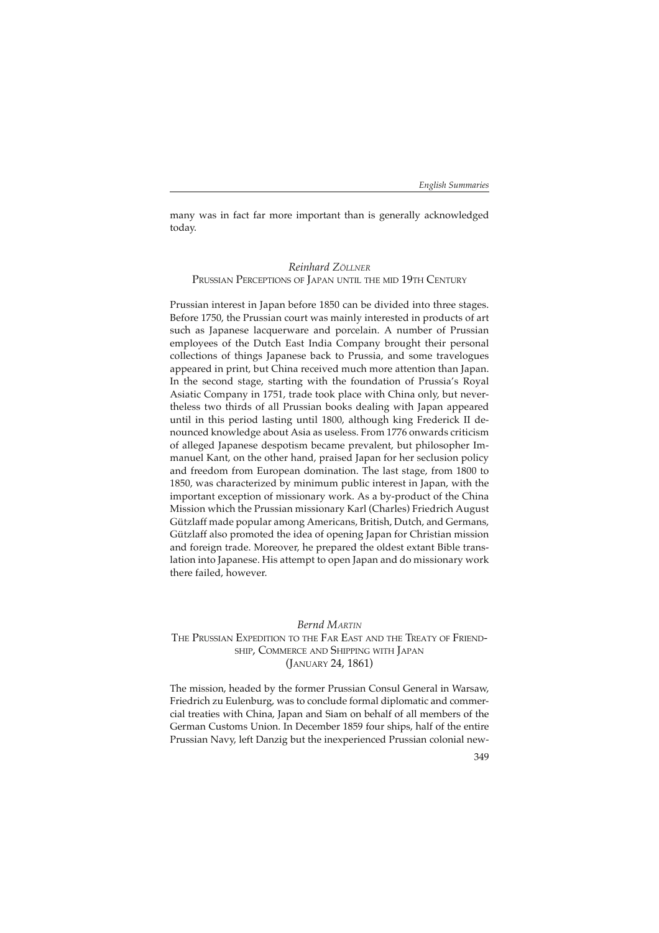many was in fact far more important than is generally acknowledged today.

# *Reinhard ZÖLLNER* PRUSSIAN PERCEPTIONS OF JAPAN UNTIL THE MID 19TH CENTURY

Prussian interest in Japan before 1850 can be divided into three stages. Before 1750, the Prussian court was mainly interested in products of art such as Japanese lacquerware and porcelain. A number of Prussian employees of the Dutch East India Company brought their personal collections of things Japanese back to Prussia, and some travelogues appeared in print, but China received much more attention than Japan. In the second stage, starting with the foundation of Prussia's Royal Asiatic Company in 1751, trade took place with China only, but nevertheless two thirds of all Prussian books dealing with Japan appeared until in this period lasting until 1800, although king Frederick II denounced knowledge about Asia as useless. From 1776 onwards criticism of alleged Japanese despotism became prevalent, but philosopher Immanuel Kant, on the other hand, praised Japan for her seclusion policy and freedom from European domination. The last stage, from 1800 to 1850, was characterized by minimum public interest in Japan, with the important exception of missionary work. As a by-product of the China Mission which the Prussian missionary Karl (Charles) Friedrich August Gützlaff made popular among Americans, British, Dutch, and Germans, Gützlaff also promoted the idea of opening Japan for Christian mission and foreign trade. Moreover, he prepared the oldest extant Bible translation into Japanese. His attempt to open Japan and do missionary work there failed, however.

#### *Bernd MARTIN* THE PRUSSIAN EXPEDITION TO THE FAR EAST AND THE TREATY OF FRIEND-SHIP, COMMERCE AND SHIPPING WITH JAPAN (JANUARY 24, 1861)

The mission, headed by the former Prussian Consul General in Warsaw, Friedrich zu Eulenburg, was to conclude formal diplomatic and commercial treaties with China, Japan and Siam on behalf of all members of the German Customs Union. In December 1859 four ships, half of the entire Prussian Navy, left Danzig but the inexperienced Prussian colonial new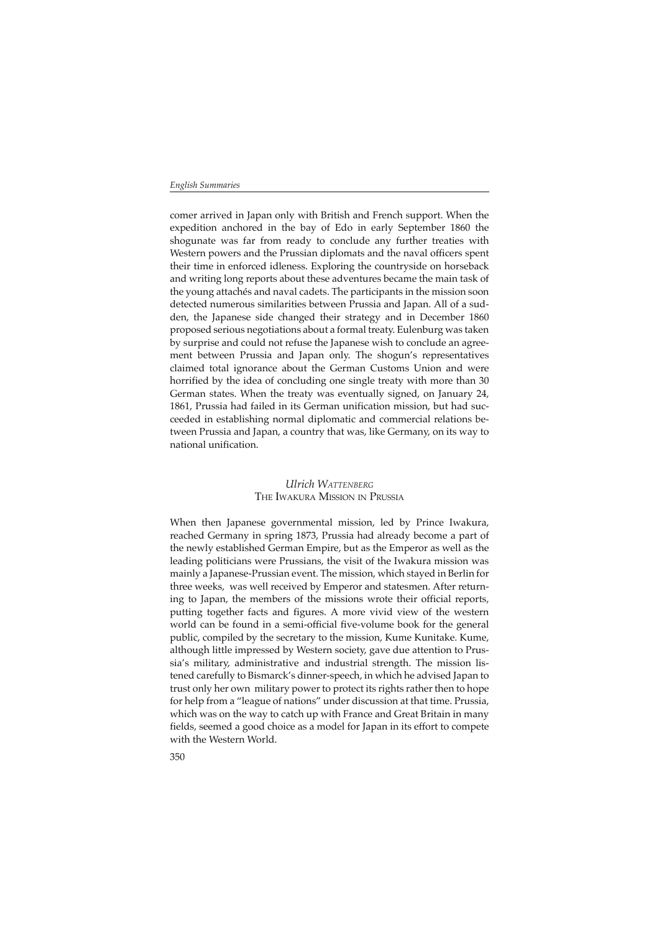comer arrived in Japan only with British and French support. When the expedition anchored in the bay of Edo in early September 1860 the shogunate was far from ready to conclude any further treaties with Western powers and the Prussian diplomats and the naval officers spent their time in enforced idleness. Exploring the countryside on horseback and writing long reports about these adventures became the main task of the young attachés and naval cadets. The participants in the mission soon detected numerous similarities between Prussia and Japan. All of a sudden, the Japanese side changed their strategy and in December 1860 proposed serious negotiations about a formal treaty. Eulenburg was taken by surprise and could not refuse the Japanese wish to conclude an agreement between Prussia and Japan only. The shogun's representatives claimed total ignorance about the German Customs Union and were horrified by the idea of concluding one single treaty with more than 30 German states. When the treaty was eventually signed, on January 24, 1861, Prussia had failed in its German unification mission, but had succeeded in establishing normal diplomatic and commercial relations between Prussia and Japan, a country that was, like Germany, on its way to national unification.

## *Ulrich WATTENBERG* THE IWAKURA MISSION IN PRUSSIA

When then Japanese governmental mission, led by Prince Iwakura, reached Germany in spring 1873, Prussia had already become a part of the newly established German Empire, but as the Emperor as well as the leading politicians were Prussians, the visit of the Iwakura mission was mainly a Japanese-Prussian event. The mission, which stayed in Berlin for three weeks, was well received by Emperor and statesmen. After returning to Japan, the members of the missions wrote their official reports, putting together facts and figures. A more vivid view of the western world can be found in a semi-official five-volume book for the general public, compiled by the secretary to the mission, Kume Kunitake. Kume, although little impressed by Western society, gave due attention to Prussia's military, administrative and industrial strength. The mission listened carefully to Bismarck's dinner-speech, in which he advised Japan to trust only her own military power to protect its rights rather then to hope for help from a "league of nations" under discussion at that time. Prussia, which was on the way to catch up with France and Great Britain in many fields, seemed a good choice as a model for Japan in its effort to compete with the Western World.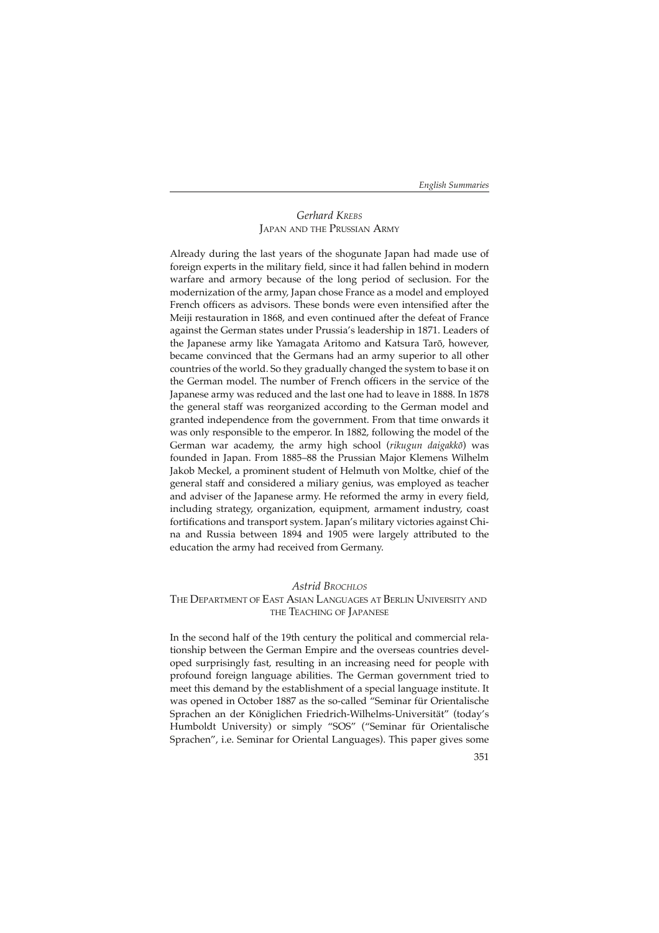# *Gerhard KREBS* JAPAN AND THE PRUSSIAN ARMY

Already during the last years of the shogunate Japan had made use of foreign experts in the military field, since it had fallen behind in modern warfare and armory because of the long period of seclusion. For the modernization of the army, Japan chose France as a model and employed French officers as advisors. These bonds were even intensified after the Meiji restauration in 1868, and even continued after the defeat of France against the German states under Prussia's leadership in 1871. Leaders of the Japanese army like Yamagata Aritomo and Katsura Tarô, however, became convinced that the Germans had an army superior to all other countries of the world. So they gradually changed the system to base it on the German model. The number of French officers in the service of the Japanese army was reduced and the last one had to leave in 1888. In 1878 the general staff was reorganized according to the German model and granted independence from the government. From that time onwards it was only responsible to the emperor. In 1882, following the model of the German war academy, the army high school (*rikugun daigakkô*) was founded in Japan. From 1885–88 the Prussian Major Klemens Wilhelm Jakob Meckel, a prominent student of Helmuth von Moltke, chief of the general staff and considered a miliary genius, was employed as teacher and adviser of the Japanese army. He reformed the army in every field, including strategy, organization, equipment, armament industry, coast fortifications and transport system. Japan's military victories against China and Russia between 1894 and 1905 were largely attributed to the education the army had received from Germany.

#### *Astrid BROCHLOS*

# THE DEPARTMENT OF EAST ASIAN LANGUAGES AT BERLIN UNIVERSITY AND THE TEACHING OF JAPANESE

In the second half of the 19th century the political and commercial relationship between the German Empire and the overseas countries developed surprisingly fast, resulting in an increasing need for people with profound foreign language abilities. The German government tried to meet this demand by the establishment of a special language institute. It was opened in October 1887 as the so-called "Seminar für Orientalische Sprachen an der Königlichen Friedrich-Wilhelms-Universität" (today's Humboldt University) or simply "SOS" ("Seminar für Orientalische Sprachen", i.e. Seminar for Oriental Languages). This paper gives some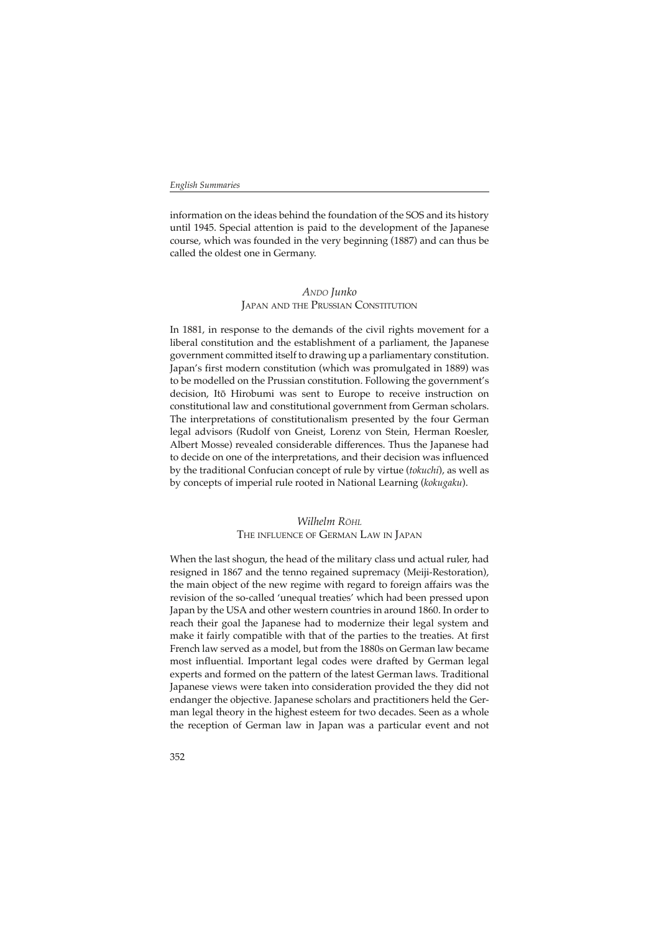information on the ideas behind the foundation of the SOS and its history until 1945. Special attention is paid to the development of the Japanese course, which was founded in the very beginning (1887) and can thus be called the oldest one in Germany.

#### *ANDO Junko* JAPAN AND THE PRUSSIAN CONSTITUTION

In 1881, in response to the demands of the civil rights movement for a liberal constitution and the establishment of a parliament, the Japanese government committed itself to drawing up a parliamentary constitution. Japan's first modern constitution (which was promulgated in 1889) was to be modelled on the Prussian constitution. Following the government's decision, Itô Hirobumi was sent to Europe to receive instruction on constitutional law and constitutional government from German scholars. The interpretations of constitutionalism presented by the four German legal advisors (Rudolf von Gneist, Lorenz von Stein, Herman Roesler, Albert Mosse) revealed considerable differences. Thus the Japanese had to decide on one of the interpretations, and their decision was influenced by the traditional Confucian concept of rule by virtue (*tokuchi*), as well as by concepts of imperial rule rooted in National Learning (*kokugaku*).

# *Wilhelm RÖHL* THE INFLUENCE OF GERMAN LAW IN JAPAN

When the last shogun, the head of the military class und actual ruler, had resigned in 1867 and the tenno regained supremacy (Meiji-Restoration), the main object of the new regime with regard to foreign affairs was the revision of the so-called 'unequal treaties' which had been pressed upon Japan by the USA and other western countries in around 1860. In order to reach their goal the Japanese had to modernize their legal system and make it fairly compatible with that of the parties to the treaties. At first French law served as a model, but from the 1880s on German law became most influential. Important legal codes were drafted by German legal experts and formed on the pattern of the latest German laws. Traditional Japanese views were taken into consideration provided the they did not endanger the objective. Japanese scholars and practitioners held the German legal theory in the highest esteem for two decades. Seen as a whole the reception of German law in Japan was a particular event and not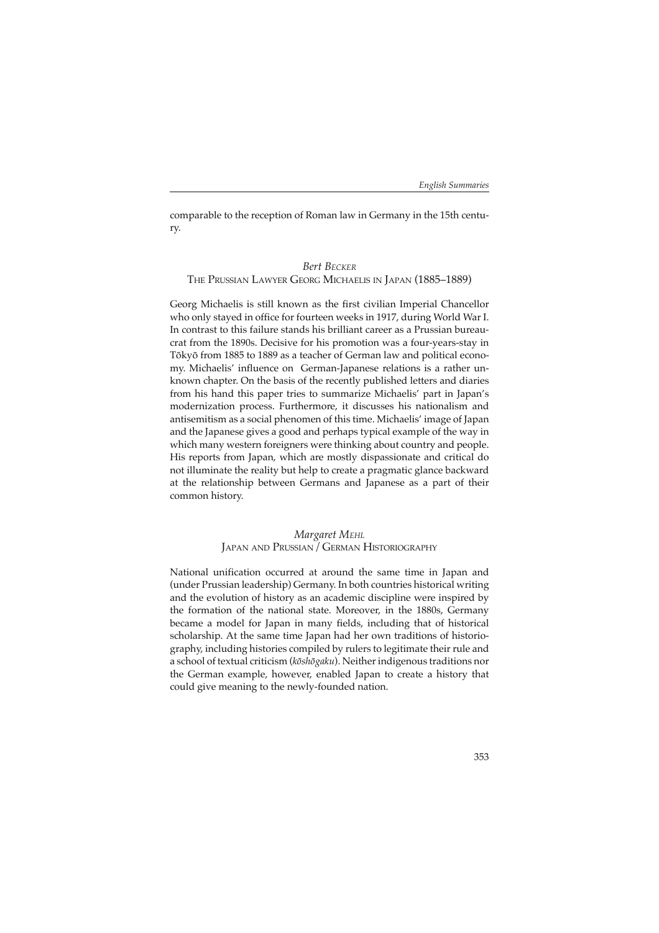comparable to the reception of Roman law in Germany in the 15th century.

#### *Bert BECKER*

#### THE PRUSSIAN LAWYER GEORG MICHAELIS IN JAPAN (1885–1889)

Georg Michaelis is still known as the first civilian Imperial Chancellor who only stayed in office for fourteen weeks in 1917, during World War I. In contrast to this failure stands his brilliant career as a Prussian bureaucrat from the 1890s. Decisive for his promotion was a four-years-stay in Tôkyô from 1885 to 1889 as a teacher of German law and political economy. Michaelis' influence on German-Japanese relations is a rather unknown chapter. On the basis of the recently published letters and diaries from his hand this paper tries to summarize Michaelis' part in Japan's modernization process. Furthermore, it discusses his nationalism and antisemitism as a social phenomen of this time. Michaelis' image of Japan and the Japanese gives a good and perhaps typical example of the way in which many western foreigners were thinking about country and people. His reports from Japan, which are mostly dispassionate and critical do not illuminate the reality but help to create a pragmatic glance backward at the relationship between Germans and Japanese as a part of their common history.

> *Margaret MEHL* JAPAN AND PRUSSIAN/GERMAN HISTORIOGRAPHY

National unification occurred at around the same time in Japan and (under Prussian leadership) Germany. In both countries historical writing and the evolution of history as an academic discipline were inspired by the formation of the national state. Moreover, in the 1880s, Germany became a model for Japan in many fields, including that of historical scholarship. At the same time Japan had her own traditions of historiography, including histories compiled by rulers to legitimate their rule and a school of textual criticism (*kôshôgaku*). Neither indigenous traditions nor the German example, however, enabled Japan to create a history that could give meaning to the newly-founded nation.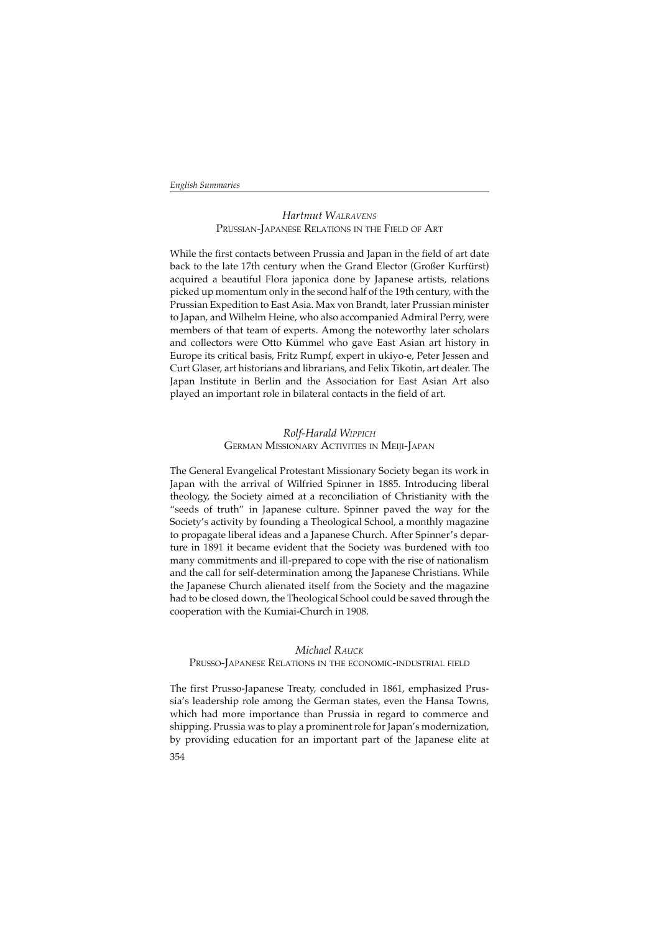### *Hartmut WALRAVENS* PRUSSIAN-JAPANESE RELATIONS IN THE FIELD OF ART

While the first contacts between Prussia and Japan in the field of art date back to the late 17th century when the Grand Elector (Großer Kurfürst) acquired a beautiful Flora japonica done by Japanese artists, relations picked up momentum only in the second half of the 19th century, with the Prussian Expedition to East Asia. Max von Brandt, later Prussian minister to Japan, and Wilhelm Heine, who also accompanied Admiral Perry, were members of that team of experts. Among the noteworthy later scholars and collectors were Otto Kümmel who gave East Asian art history in Europe its critical basis, Fritz Rumpf, expert in ukiyo-e, Peter Jessen and Curt Glaser, art historians and librarians, and Felix Tikotin, art dealer. The Japan Institute in Berlin and the Association for East Asian Art also played an important role in bilateral contacts in the field of art.

## *Rolf-Harald WIPPICH* GERMAN MISSIONARY ACTIVITIES IN MEIJI-JAPAN

The General Evangelical Protestant Missionary Society began its work in Japan with the arrival of Wilfried Spinner in 1885. Introducing liberal theology, the Society aimed at a reconciliation of Christianity with the "seeds of truth" in Japanese culture. Spinner paved the way for the Society's activity by founding a Theological School, a monthly magazine to propagate liberal ideas and a Japanese Church. After Spinner's departure in 1891 it became evident that the Society was burdened with too many commitments and ill-prepared to cope with the rise of nationalism and the call for self-determination among the Japanese Christians. While the Japanese Church alienated itself from the Society and the magazine had to be closed down, the Theological School could be saved through the cooperation with the Kumiai-Church in 1908.

### *Michael RAUCK* PRUSSO-JAPANESE RELATIONS IN THE ECONOMIC-INDUSTRIAL FIELD

The first Prusso-Japanese Treaty, concluded in 1861, emphasized Prussia's leadership role among the German states, even the Hansa Towns, which had more importance than Prussia in regard to commerce and shipping. Prussia was to play a prominent role for Japan's modernization, by providing education for an important part of the Japanese elite at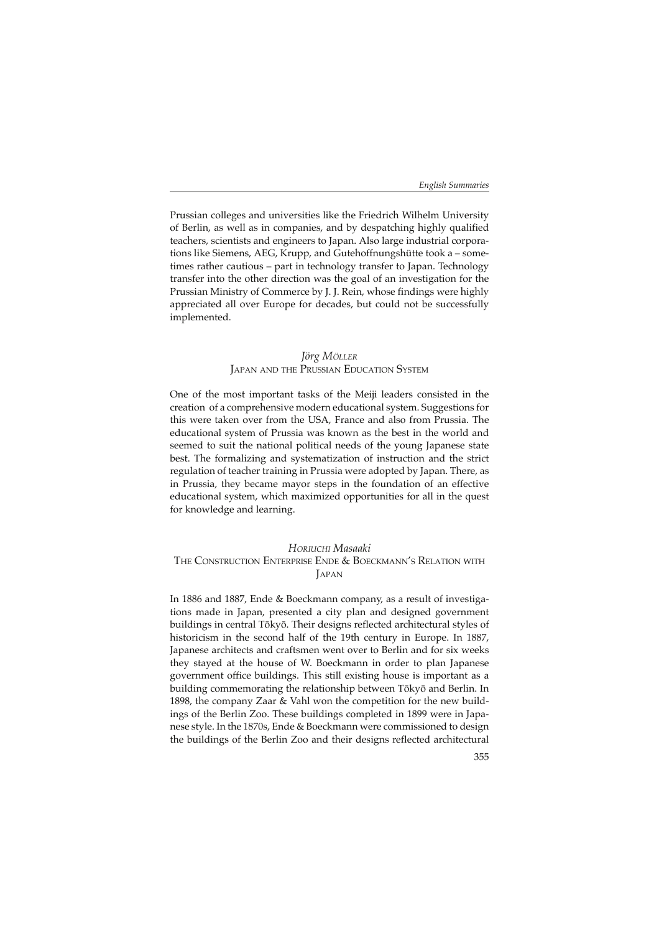Prussian colleges and universities like the Friedrich Wilhelm University of Berlin, as well as in companies, and by despatching highly qualified teachers, scientists and engineers to Japan. Also large industrial corporations like Siemens, AEG, Krupp, and Gutehoffnungshütte took a – sometimes rather cautious – part in technology transfer to Japan. Technology transfer into the other direction was the goal of an investigation for the Prussian Ministry of Commerce by J. J. Rein, whose findings were highly appreciated all over Europe for decades, but could not be successfully implemented.

#### *Jörg MÖLLER* JAPAN AND THE PRUSSIAN EDUCATION SYSTEM

One of the most important tasks of the Meiji leaders consisted in the creation of a comprehensive modern educational system. Suggestions for this were taken over from the USA, France and also from Prussia. The educational system of Prussia was known as the best in the world and seemed to suit the national political needs of the young Japanese state best. The formalizing and systematization of instruction and the strict regulation of teacher training in Prussia were adopted by Japan. There, as in Prussia, they became mayor steps in the foundation of an effective educational system, which maximized opportunities for all in the quest for knowledge and learning.

### *HORIUCHI Masaaki*

#### THE CONSTRUCTION ENTERPRISE ENDE & BOECKMANN'S RELATION WITH **JAPAN**

In 1886 and 1887, Ende & Boeckmann company, as a result of investigations made in Japan, presented a city plan and designed government buildings in central Tôkyô. Their designs reflected architectural styles of historicism in the second half of the 19th century in Europe. In 1887, Japanese architects and craftsmen went over to Berlin and for six weeks they stayed at the house of W. Boeckmann in order to plan Japanese government office buildings. This still existing house is important as a building commemorating the relationship between Tôkyô and Berlin. In 1898, the company Zaar & Vahl won the competition for the new buildings of the Berlin Zoo. These buildings completed in 1899 were in Japanese style. In the 1870s, Ende & Boeckmann were commissioned to design the buildings of the Berlin Zoo and their designs reflected architectural